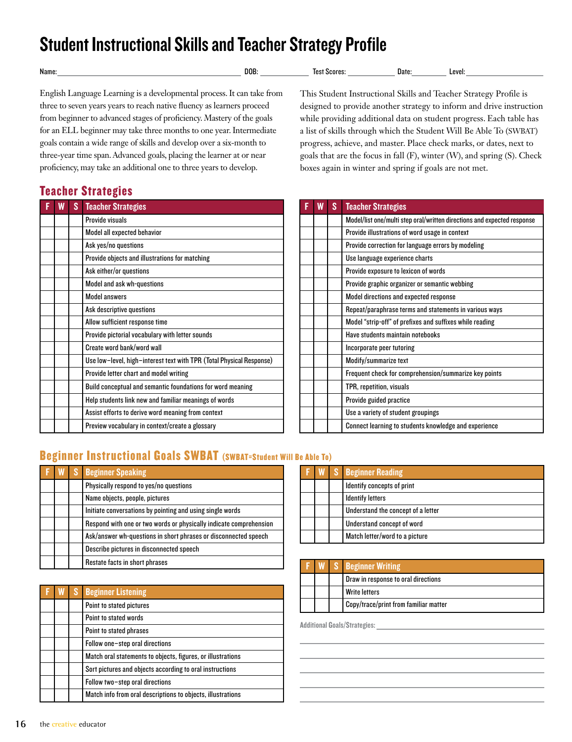# Student Instructional Skills and Teacher Strategy Profile

| Name | .00 | лат | evel.<br>. . |
|------|-----|-----|--------------|
|      |     |     |              |

English Language Learning is a developmental process. It can take from three to seven years years to reach native fluency as learners proceed from beginner to advanced stages of proficiency. Mastery of the goals for an ELL beginner may take three months to one year. Intermediate goals contain a wide range of skills and develop over a six-month to three-year time span. Advanced goals, placing the learner at or near proficiency, may take an additional one to three years to develop.

#### Teacher Strategies

| W | S | <b>Teacher Strategies</b>                                            |
|---|---|----------------------------------------------------------------------|
|   |   | Provide visuals                                                      |
|   |   | Model all expected behavior                                          |
|   |   | Ask yes/no questions                                                 |
|   |   | Provide objects and illustrations for matching                       |
|   |   | Ask either/or questions                                              |
|   |   | Model and ask wh-questions                                           |
|   |   | <b>Model answers</b>                                                 |
|   |   | Ask descriptive questions                                            |
|   |   | Allow sufficient response time                                       |
|   |   | Provide pictorial vocabulary with letter sounds                      |
|   |   | Create word bank/word wall                                           |
|   |   | Use low-level, high-interest text with TPR (Total Physical Response) |
|   |   | Provide letter chart and model writing                               |
|   |   | Build conceptual and semantic foundations for word meaning           |
|   |   | Help students link new and familiar meanings of words                |
|   |   | Assist efforts to derive word meaning from context                   |
|   |   | Preview vocabulary in context/create a glossary                      |

This Student Instructional Skills and Teacher Strategy Profile is designed to provide another strategy to inform and drive instruction while providing additional data on student progress. Each table has a list of skills through which the Student Will Be Able To (SWBAT) progress, achieve, and master. Place check marks, or dates, next to goals that are the focus in fall (F), winter (W), and spring (S). Check boxes again in winter and spring if goals are not met.

| W | S | <b>Teacher Strategies</b>                                               |
|---|---|-------------------------------------------------------------------------|
|   |   | Model/list one/multi step oral/written directions and expected response |
|   |   | Provide illustrations of word usage in context                          |
|   |   | Provide correction for language errors by modeling                      |
|   |   | Use language experience charts                                          |
|   |   | Provide exposure to lexicon of words                                    |
|   |   | Provide graphic organizer or semantic webbing                           |
|   |   | Model directions and expected response                                  |
|   |   | Repeat/paraphrase terms and statements in various ways                  |
|   |   | Model "strip-off" of prefixes and suffixes while reading                |
|   |   | Have students maintain notebooks                                        |
|   |   | Incorporate peer tutoring                                               |
|   |   | Modify/summarize text                                                   |
|   |   | Frequent check for comprehension/summarize key points                   |
|   |   | TPR, repetition, visuals                                                |
|   |   | Provide guided practice                                                 |
|   |   | Use a variety of student groupings                                      |
|   |   | Connect learning to students knowledge and experience                   |

### Beginner Instructional Goals SWBAT (SWBAT=Student Will Be Able To)

|  | <b>W</b> S Beginner Speaking                                       |  |  | <b>W</b> S Beginner Reading |
|--|--------------------------------------------------------------------|--|--|-----------------------------|
|  | Physically respond to yes/no questions                             |  |  | Identify concepts of p      |
|  | Name objects, people, pictures                                     |  |  | <b>Identify letters</b>     |
|  | Initiate conversations by pointing and using single words          |  |  | Understand the conce        |
|  | Respond with one or two words or physically indicate comprehension |  |  | Understand concept o        |
|  | Ask/answer wh-questions in short phrases or disconnected speech    |  |  | Match letter/word to        |
|  | Describe pictures in disconnected speech                           |  |  |                             |
|  | Restate facts in short phrases                                     |  |  | <b>Radinnar Writing</b>     |

| W | <b>AS</b> | <b>Beginner Listening</b>                                   |
|---|-----------|-------------------------------------------------------------|
|   |           | Point to stated pictures                                    |
|   |           | Point to stated words                                       |
|   |           | Point to stated phrases                                     |
|   |           | Follow one-step oral directions                             |
|   |           | Match oral statements to objects, figures, or illustrations |
|   |           | Sort pictures and objects according to oral instructions    |
|   |           | Follow two-step oral directions                             |
|   |           | Match info from oral descriptions to objects, illustrations |

|  | <b>F W</b> S <b>Beginner</b> Reading |
|--|--------------------------------------|
|  | Identify concepts of print           |
|  | <b>Identify letters</b>              |
|  | Understand the concept of a letter   |
|  | Understand concept of word           |
|  | Match letter/word to a picture       |

|  | <b>F W</b> S <b>Beginner</b> Writing  |
|--|---------------------------------------|
|  | Draw in response to oral directions   |
|  | Write letters                         |
|  | Copy/trace/print from familiar matter |

Additional Goals/Strategies: